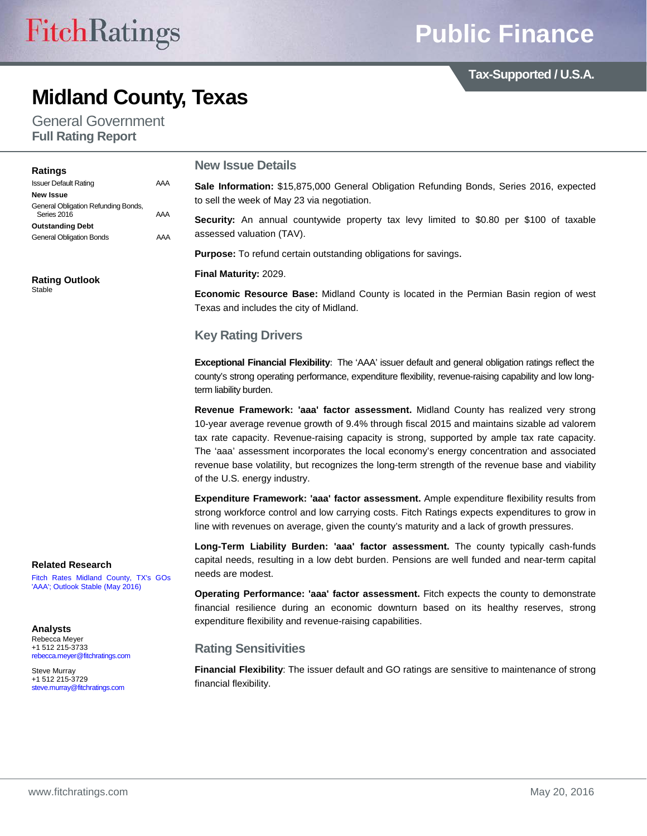**Tax-Supported / U.S.A.**

## **Midland County, Texas**

General Government **Full Rating Report**

#### **New Issue Details Sale Information:** \$15,875,000 General Obligation Refunding Bonds, Series 2016, expected to sell the week of May 23 via negotiation. **Security:** An annual countywide property tax levy limited to \$0.80 per \$100 of taxable assessed valuation (TAV). **Purpose:** To refund certain outstanding obligations for savings. **Final Maturity:** 2029. **Economic Resource Base:** Midland County is located in the Permian Basin region of west Texas and includes the city of Midland. **Key Rating Drivers Exceptional Financial Flexibility:** The 'AAA' issuer default and general obligation ratings reflect the **Ratings** Issuer Default Rating AAA **New Issue** General Obligation Refunding Bonds, Series 2016 **AAA Outstanding Debt** General Obligation Bonds AAA **Rating Outlook** Stable

county's strong operating performance, expenditure flexibility, revenue-raising capability and low longterm liability burden.

**Revenue Framework: 'aaa' factor assessment.** Midland County has realized very strong 10-year average revenue growth of 9.4% through fiscal 2015 and maintains sizable ad valorem tax rate capacity. Revenue-raising capacity is strong, supported by ample tax rate capacity. The 'aaa' assessment incorporates the local economy's energy concentration and associated revenue base volatility, but recognizes the long-term strength of the revenue base and viability of the U.S. energy industry.

**Expenditure Framework: 'aaa' factor assessment.** Ample expenditure flexibility results from strong workforce control and low carrying costs. Fitch Ratings expects expenditures to grow in line with revenues on average, given the county's maturity and a lack of growth pressures.

**Long-Term Liability Burden: 'aaa' factor assessment.** The county typically cash-funds capital needs, resulting in a low debt burden. Pensions are well funded and near-term capital needs are modest.

**Operating Performance: 'aaa' factor assessment.** Fitch expects the county to demonstrate financial resilience during an economic downturn based on its healthy reserves, strong expenditure flexibility and revenue-raising capabilities.

## **Rating Sensitivities**

**Financial Flexibility**: The issuer default and GO ratings are sensitive to maintenance of strong financial flexibility.

#### **Related Research**

[Fitch Rates Midland County, TX's GOs](https://www.fitchratings.com/site/pressrelease?id=1004710)  ['AAA'; Outlook Stable \(May 2016\)](https://www.fitchratings.com/site/pressrelease?id=1004710)

**Analysts**

Rebecca Meyer +1 512 215-3733 [rebecca.meyer@fitchratings.com](mailto:rebecca.meyer@fitchratings.com)

Steve Murray +1 512 215-3729 [steve.murray@fitchratings.com](mailto:steve.murray@fitchratings.com)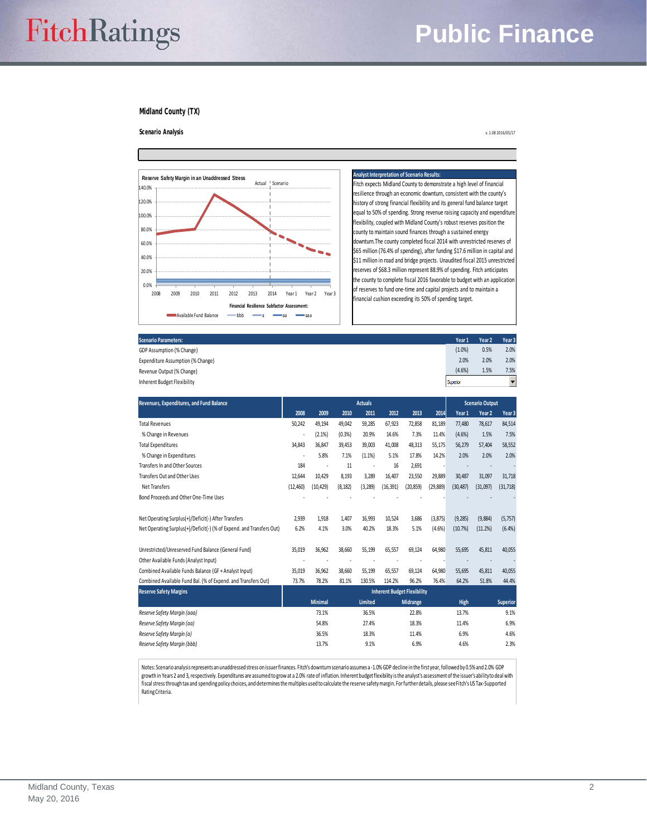# **Public Finance**

#### **Midland County (TX)**



#### **Analyst Interpretation of Scenario Results:**

Fitch expects Midland County to demonstrate a high level of financial resilience through an economic downturn, consistent with the county's history of strong financial flexibility and its general fund balance target equal to 50% of spending. Strong revenue raising capacity and expenditure flexibility, coupled with Midland County's robust reserves position the county to maintain sound finances through a sustained energy downturn.
The county completed fiscal 2014 with unrestricted reserves of \$65 million (76.4% of spending), after funding \$17.6 million in capital and \$11 million in road and bridge projects. Unaudited fiscal 2015 unrestricted reserves of \$68.3 million represent 88.9% of spending. Fitch anticipates the county to complete fiscal 2016 favorable to budget with an application of reserves to fund one-time and capital projects and to maintain a financial cushion exceeding its 50% of spending target.

| <b>Scenario Parameters:</b>       | Year 1   | Year <sub>2</sub> | Year <sub>3</sub> |
|-----------------------------------|----------|-------------------|-------------------|
| GDP Assumption (% Change)         | (1.0%    | 0.5%              | 2.0%              |
| Expenditure Assumption (% Change) | 2.0%     | 2.0%              | 2.0%              |
| Revenue Output (% Change)         | (4.6%)   | 1.5%              | 7.5%              |
| Inherent Budget Flexibility       | Superior |                   |                   |
|                                   |          |                   |                   |

| Revenues, Expenditures, and Fund Balance<br><b>Actuals</b>           |                                    |                |          |                |           | <b>Scenario Output</b> |           |           |                   |                 |
|----------------------------------------------------------------------|------------------------------------|----------------|----------|----------------|-----------|------------------------|-----------|-----------|-------------------|-----------------|
|                                                                      | 2008                               | 2009           | 2010     | 2011           | 2012      | 2013                   | 2014      | Year 1    | Year <sub>2</sub> | Year 3          |
| <b>Total Revenues</b>                                                | 50,242                             | 49,194         | 49,042   | 59,285         | 67,923    | 72,858                 | 81,189    | 77,480    | 78,617            | 84,514          |
| % Change in Revenues                                                 |                                    | (2.1%)         | (0.3% )  | 20.9%          | 14.6%     | 7.3%                   | 11.4%     | (4.6%)    | 1.5%              | 7.5%            |
| <b>Total Expenditures</b>                                            | 34,843                             | 36.847         | 39.453   | 39,003         | 41,008    | 48,313                 | 55,175    | 56,279    | 57,404            | 58,552          |
| % Change in Expenditures                                             | ٠                                  | 5.8%           | 7.1%     | (1.1%)         | 5.1%      | 17.8%                  | 14.2%     | 2.0%      | 2.0%              | 2.0%            |
| Transfers In and Other Sources                                       | 184                                |                | 11       |                | 16        | 2,691                  |           |           |                   |                 |
| Transfers Out and Other Uses                                         | 12,644                             | 10,429         | 8,193    | 3,289          | 16,407    | 23,550                 | 29,889    | 30,487    | 31,097            | 31,718          |
| Net Transfers                                                        | (12, 460)                          | (10, 429)      | (8, 182) | (3, 289)       | (16, 391) | (20, 859)              | (29, 889) | (30, 487) | (31,097)          | (31, 718)       |
| Bond Proceeds and Other One-Time Uses                                |                                    |                |          |                |           |                        |           |           |                   |                 |
| Net Operating Surplus(+)/Deficit(-) After Transfers                  | 2.939                              | 1.918          | 1.407    | 16.993         | 10.524    | 3.686                  | (3, 875)  | (9, 285)  | (9,884)           | (5, 757)        |
| Net Operating Surplus(+)/Deficit(-) (% of Expend. and Transfers Out) | 6.2%                               | 4.1%           | 3.0%     | 40.2%          | 18.3%     | 5.1%                   | (4.6%)    | (10.7%)   | (11.2%)           | (6.4%)          |
| Unrestricted/Unreserved Fund Balance (General Fund)                  | 35,019                             | 36,962         | 38,660   | 55,199         | 65,557    | 69,124                 | 64,980    | 55,695    | 45,811            | 40,055          |
| Other Available Funds (Analyst Input)                                |                                    |                |          |                |           |                        |           |           |                   |                 |
| Combined Available Funds Balance (GF + Analyst Input)                | 35,019                             | 36,962         | 38,660   | 55,199         | 65,557    | 69,124                 | 64,980    | 55,695    | 45,811            | 40,055          |
| Combined Available Fund Bal. (% of Expend. and Transfers Out)        | 73.7%                              | 78.2%          | 81.1%    | 130.5%         | 114.2%    | 96.2%                  | 76.4%     | 64.2%     | 51.8%             | 44.4%           |
| <b>Reserve Safety Margins</b>                                        | <b>Inherent Budget Flexibility</b> |                |          |                |           |                        |           |           |                   |                 |
|                                                                      |                                    | <b>Minimal</b> |          | <b>Limited</b> |           | <b>Midrange</b>        |           | High      |                   | <b>Superior</b> |
| Reserve Safety Marain (aaa)                                          |                                    | 73.1%          |          | 36.5%          |           | 22.8%                  |           | 13.7%     |                   | 9.1%            |
| Reserve Safety Margin (aa)                                           |                                    | 54.8%          |          | 27.4%          |           | 18.3%                  |           | 11.4%     |                   | 6.9%            |
| Reserve Safety Margin (a)                                            |                                    | 36.5%          |          | 18.3%          |           | 11.4%                  |           | 6.9%      |                   | 4.6%            |
| Reserve Safety Margin (bbb)                                          |                                    | 13.7%          |          | 9.1%           |           | 6.9%                   |           | 4.6%      |                   | 2.3%            |

**Scenario Analysis** v. 1.08 2016/05/17

Notes: Scenario analysis represents an unaddressed stress on issuer finances. Fitch's downturn scenario assumes a -1.0% GDP decline in the first year, followed by 0.5% and 2.0% GDP growth in Years 2 and 3, respectively. Expenditures are assumed to grow at a 2.0% rate of inflation. Inherent budget flexibility is the analyst's assessment of the issuer's ability to deal with<br>fiscal stress through tax an Rating Criteria.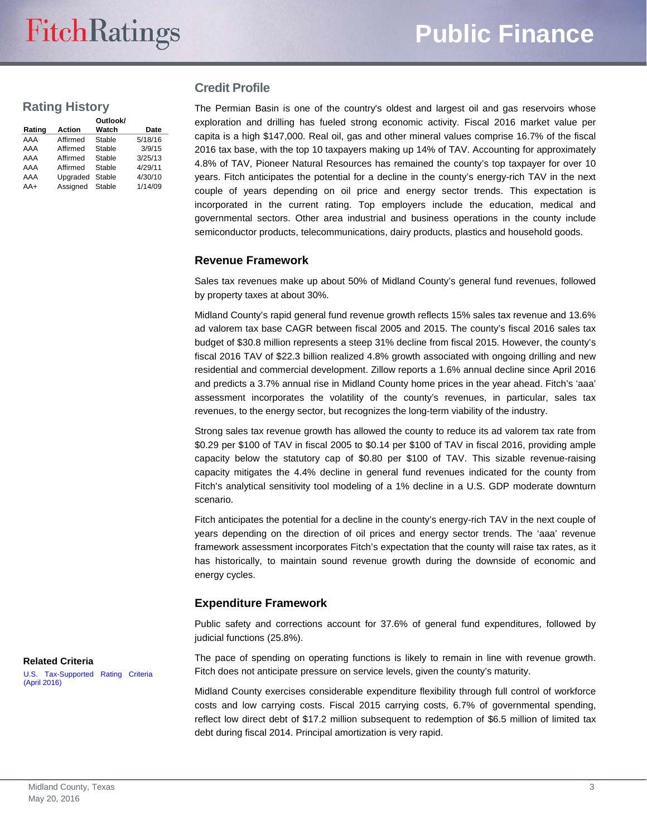## **Rating History**

| Rating | <b>Action</b> | Outlook/<br>Watch | Date    |
|--------|---------------|-------------------|---------|
| AAA    | Affirmed      | Stable            | 5/18/16 |
| AAA    | Affirmed      | Stable            | 3/9/15  |
| AAA    | Affirmed      | Stable            | 3/25/13 |
| AAA    | Affirmed      | Stable            | 4/29/11 |
| AAA    | Upgraded      | Stable            | 4/30/10 |
| $AA+$  | Assigned      | Stable            | 1/14/09 |

#### **Credit Profile**

The Permian Basin is one of the country's oldest and largest oil and gas reservoirs whose exploration and drilling has fueled strong economic activity. Fiscal 2016 market value per capita is a high \$147,000. Real oil, gas and other mineral values comprise 16.7% of the fiscal 2016 tax base, with the top 10 taxpayers making up 14% of TAV. Accounting for approximately 4.8% of TAV, Pioneer Natural Resources has remained the county's top taxpayer for over 10 years. Fitch anticipates the potential for a decline in the county's energy-rich TAV in the next couple of years depending on oil price and energy sector trends. This expectation is incorporated in the current rating. Top employers include the education, medical and governmental sectors. Other area industrial and business operations in the county include semiconductor products, telecommunications, dairy products, plastics and household goods.

#### **Revenue Framework**

Sales tax revenues make up about 50% of Midland County's general fund revenues, followed by property taxes at about 30%.

Midland County's rapid general fund revenue growth reflects 15% sales tax revenue and 13.6% ad valorem tax base CAGR between fiscal 2005 and 2015. The county's fiscal 2016 sales tax budget of \$30.8 million represents a steep 31% decline from fiscal 2015. However, the county's fiscal 2016 TAV of \$22.3 billion realized 4.8% growth associated with ongoing drilling and new residential and commercial development. Zillow reports a 1.6% annual decline since April 2016 and predicts a 3.7% annual rise in Midland County home prices in the year ahead. Fitch's 'aaa' assessment incorporates the volatility of the county's revenues, in particular, sales tax revenues, to the energy sector, but recognizes the long-term viability of the industry.

Strong sales tax revenue growth has allowed the county to reduce its ad valorem tax rate from \$0.29 per \$100 of TAV in fiscal 2005 to \$0.14 per \$100 of TAV in fiscal 2016, providing ample capacity below the statutory cap of \$0.80 per \$100 of TAV. This sizable revenue-raising capacity mitigates the 4.4% decline in general fund revenues indicated for the county from Fitch's analytical sensitivity tool modeling of a 1% decline in a U.S. GDP moderate downturn scenario.

Fitch anticipates the potential for a decline in the county's energy-rich TAV in the next couple of years depending on the direction of oil prices and energy sector trends. The 'aaa' revenue framework assessment incorporates Fitch's expectation that the county will raise tax rates, as it has historically, to maintain sound revenue growth during the downside of economic and energy cycles.

#### **Expenditure Framework**

Public safety and corrections account for 37.6% of general fund expenditures, followed by judicial functions (25.8%).

The pace of spending on operating functions is likely to remain in line with revenue growth. Fitch does not anticipate pressure on service levels, given the county's maturity.

Midland County exercises considerable expenditure flexibility through full control of workforce costs and low carrying costs. Fiscal 2015 carrying costs, 6.7% of governmental spending, reflect low direct debt of \$17.2 million subsequent to redemption of \$6.5 million of limited tax debt during fiscal 2014. Principal amortization is very rapid.

**Related Criteria**

[U.S. Tax-Supported Rating Criteria](http://www.fitchratings.com/creditdesk/reports/report_frame.cfm?rpt_id=879478)  [\(April 2016\)](http://www.fitchratings.com/creditdesk/reports/report_frame.cfm?rpt_id=879478)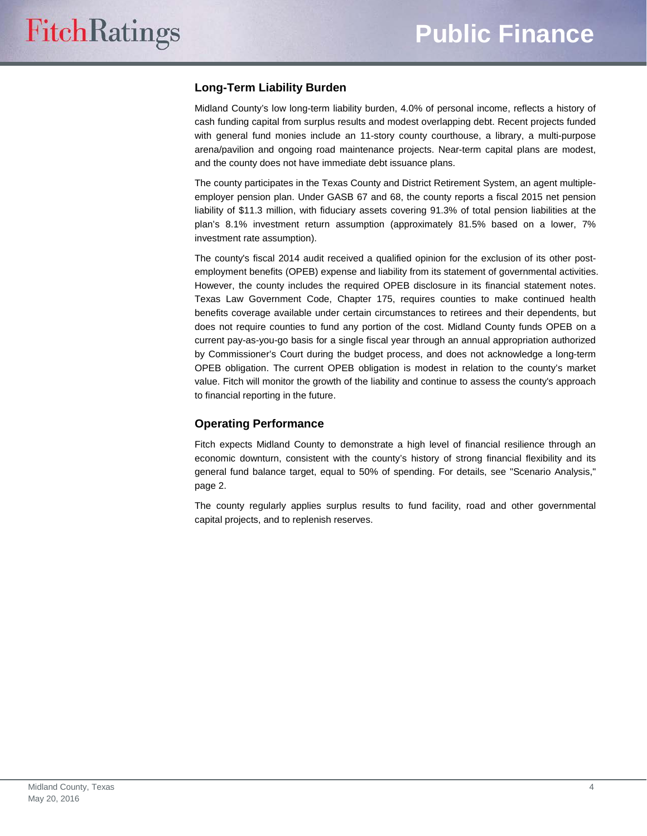## **Long-Term Liability Burden**

Midland County's low long-term liability burden, 4.0% of personal income, reflects a history of cash funding capital from surplus results and modest overlapping debt. Recent projects funded with general fund monies include an 11-story county courthouse, a library, a multi-purpose arena/pavilion and ongoing road maintenance projects. Near-term capital plans are modest, and the county does not have immediate debt issuance plans.

The county participates in the Texas County and District Retirement System, an agent multipleemployer pension plan. Under GASB 67 and 68, the county reports a fiscal 2015 net pension liability of \$11.3 million, with fiduciary assets covering 91.3% of total pension liabilities at the plan's 8.1% investment return assumption (approximately 81.5% based on a lower, 7% investment rate assumption).

The county's fiscal 2014 audit received a qualified opinion for the exclusion of its other postemployment benefits (OPEB) expense and liability from its statement of governmental activities. However, the county includes the required OPEB disclosure in its financial statement notes. Texas Law Government Code, Chapter 175, requires counties to make continued health benefits coverage available under certain circumstances to retirees and their dependents, but does not require counties to fund any portion of the cost. Midland County funds OPEB on a current pay-as-you-go basis for a single fiscal year through an annual appropriation authorized by Commissioner's Court during the budget process, and does not acknowledge a long-term OPEB obligation. The current OPEB obligation is modest in relation to the county's market value. Fitch will monitor the growth of the liability and continue to assess the county's approach to financial reporting in the future.

### **Operating Performance**

Fitch expects Midland County to demonstrate a high level of financial resilience through an economic downturn, consistent with the county's history of strong financial flexibility and its general fund balance target, equal to 50% of spending. For details, see "Scenario Analysis," page 2.

The county regularly applies surplus results to fund facility, road and other governmental capital projects, and to replenish reserves.